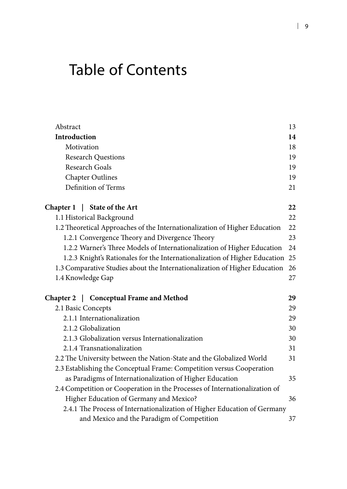## Table of Contents

| Abstract                                                                   | 13 |
|----------------------------------------------------------------------------|----|
| Introduction                                                               | 14 |
| Motivation                                                                 | 18 |
| <b>Research Questions</b>                                                  | 19 |
| <b>Research Goals</b>                                                      | 19 |
| <b>Chapter Outlines</b>                                                    | 19 |
| Definition of Terms                                                        | 21 |
| Chapter 1   State of the Art                                               | 22 |
| 1.1 Historical Background                                                  | 22 |
| 1.2 Theoretical Approaches of the Internationalization of Higher Education | 22 |
| 1.2.1 Convergence Theory and Divergence Theory                             | 23 |
| 1.2.2 Warner's Three Models of Internationalization of Higher Education    | 24 |
| 1.2.3 Knight's Rationales for the Internationalization of Higher Education | 25 |
| 1.3 Comparative Studies about the Internationalization of Higher Education | 26 |
| 1.4 Knowledge Gap                                                          | 27 |
| Chapter 2   Conceptual Frame and Method                                    | 29 |
| 2.1 Basic Concepts                                                         | 29 |
| 2.1.1 Internationalization                                                 | 29 |
| 2.1.2 Globalization                                                        | 30 |
| 2.1.3 Globalization versus Internationalization                            | 30 |
| 2.1.4 Transnationalization                                                 | 31 |
| 2.2 The University between the Nation-State and the Globalized World       | 31 |
| 2.3 Establishing the Conceptual Frame: Competition versus Cooperation      |    |
| as Paradigms of Internationalization of Higher Education                   | 35 |
| 2.4 Competition or Cooperation in the Processes of Internationalization of |    |
| Higher Education of Germany and Mexico?                                    | 36 |
| 2.4.1 The Process of Internationalization of Higher Education of Germany   |    |
| and Mexico and the Paradigm of Competition                                 | 37 |
|                                                                            |    |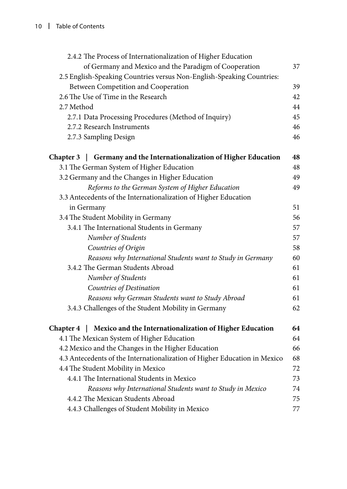| 2.4.2 The Process of Internationalization of Higher Education             |    |
|---------------------------------------------------------------------------|----|
| of Germany and Mexico and the Paradigm of Cooperation                     | 37 |
| 2.5 English-Speaking Countries versus Non-English-Speaking Countries:     |    |
| Between Competition and Cooperation                                       | 39 |
| 2.6 The Use of Time in the Research                                       | 42 |
| 2.7 Method                                                                | 44 |
| 2.7.1 Data Processing Procedures (Method of Inquiry)                      | 45 |
| 2.7.2 Research Instruments                                                | 46 |
| 2.7.3 Sampling Design                                                     | 46 |
| Chapter 3   Germany and the Internationalization of Higher Education      | 48 |
| 3.1 The German System of Higher Education                                 | 48 |
| 3.2 Germany and the Changes in Higher Education                           | 49 |
| Reforms to the German System of Higher Education                          | 49 |
| 3.3 Antecedents of the Internationalization of Higher Education           |    |
| in Germany                                                                | 51 |
| 3.4 The Student Mobility in Germany                                       | 56 |
| 3.4.1 The International Students in Germany                               | 57 |
| Number of Students                                                        | 57 |
| Countries of Origin                                                       | 58 |
| Reasons why International Students want to Study in Germany               | 60 |
| 3.4.2 The German Students Abroad                                          | 61 |
| Number of Students                                                        | 61 |
| Countries of Destination                                                  | 61 |
| Reasons why German Students want to Study Abroad                          | 61 |
| 3.4.3 Challenges of the Student Mobility in Germany                       | 62 |
| Chapter 4   Mexico and the Internationalization of Higher Education       | 64 |
| 4.1 The Mexican System of Higher Education                                | 64 |
| 4.2 Mexico and the Changes in the Higher Education                        | 66 |
| 4.3 Antecedents of the Internationalization of Higher Education in Mexico | 68 |
| 4.4 The Student Mobility in Mexico                                        | 72 |
| 4.4.1 The International Students in Mexico                                | 73 |
| Reasons why International Students want to Study in Mexico                | 74 |
| 4.4.2 The Mexican Students Abroad                                         | 75 |
| 4.4.3 Challenges of Student Mobility in Mexico                            | 77 |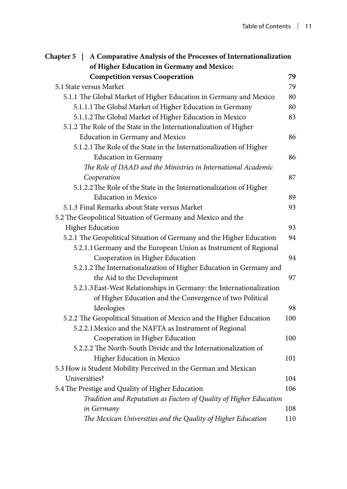| Chapter 5   A Comparative Analysis of the Processes of Internationalization |     |
|-----------------------------------------------------------------------------|-----|
| of Higher Education in Germany and Mexico:                                  |     |
| <b>Competition versus Cooperation</b>                                       | 79  |
| 5.1 State versus Market                                                     | 79  |
| 5.1.1 The Global Market of Higher Education in Germany and Mexico           | 80  |
| 5.1.1.1 The Global Market of Higher Education in Germany                    | 80  |
| 5.1.1.2 The Global Market of Higher Education in Mexico                     | 83  |
| 5.1.2 The Role of the State in the Internationalization of Higher           |     |
| Education in Germany and Mexico                                             | 86  |
| 5.1.2.1 The Role of the State in the Internationalization of Higher         |     |
| <b>Education</b> in Germany                                                 | 86  |
| The Role of DAAD and the Ministries in International Academic               |     |
| Cooperation                                                                 | 87  |
| 5.1.2.2 The Role of the State in the Internationalization of Higher         |     |
| <b>Education in Mexico</b>                                                  | 89  |
| 5.1.3 Final Remarks about State versus Market                               | 93  |
| 5.2 The Geopolitical Situation of Germany and Mexico and the                |     |
| <b>Higher Education</b>                                                     | 93  |
| 5.2.1 The Geopolitical Situation of Germany and the Higher Education        | 94  |
| 5.2.1.1 Germany and the European Union as Instrument of Regional            |     |
| Cooperation in Higher Education                                             | 94  |
| 5.2.1.2 The Internationalization of Higher Education in Germany and         |     |
| the Aid to the Development                                                  | 97  |
| 5.2.1.3 East-West Relationships in Germany: the Internationalization        |     |
| of Higher Education and the Convergence of two Political                    |     |
| Ideologies                                                                  | 98  |
| 5.2.2 The Geopolitical Situation of Mexico and the Higher Education         | 100 |
| 5.2.2.1 Mexico and the NAFTA as Instrument of Regional                      |     |
| Cooperation in Higher Education                                             | 100 |
| 5.2.2.2 The North-South Divide and the Internationalization of              |     |
| Higher Education in Mexico                                                  | 101 |
| 5.3 How is Student Mobility Perceived in the German and Mexican             |     |
| Universities?                                                               | 104 |
| 5.4 The Prestige and Quality of Higher Education                            | 106 |
| Tradition and Reputation as Factors of Quality of Higher Education          |     |
| in Germany                                                                  | 108 |
| The Mexican Universities and the Quality of Higher Education                | 110 |